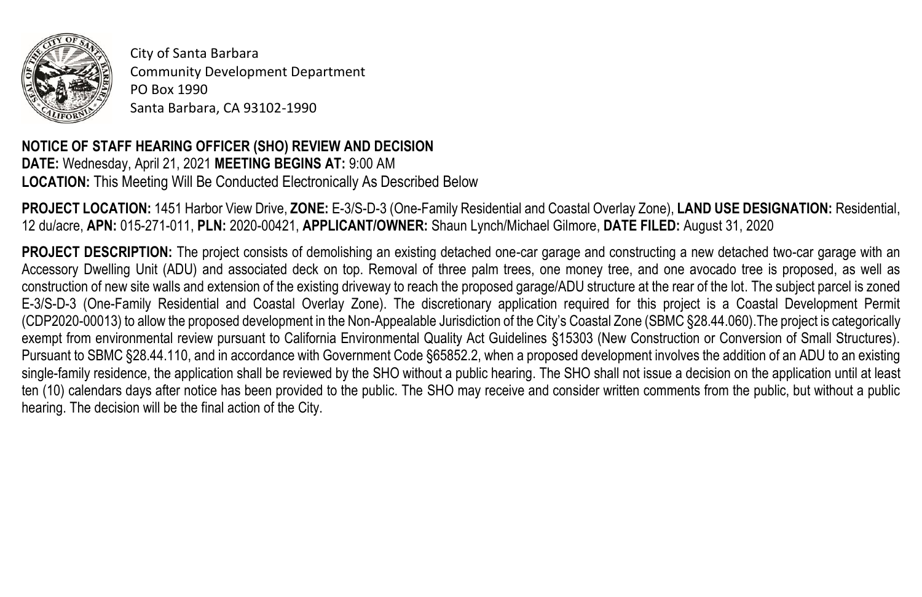

City of Santa Barbara Community Development Department PO Box 1990 Santa Barbara, CA 93102-1990

## **NOTICE OF STAFF HEARING OFFICER (SHO) REVIEW AND DECISION DATE:** Wednesday, April 21, 2021 **MEETING BEGINS AT:** 9:00 AM **LOCATION:** This Meeting Will Be Conducted Electronically As Described Below

**PROJECT LOCATION:** 1451 Harbor View Drive, **ZONE:** E-3/S-D-3 (One-Family Residential and Coastal Overlay Zone), **LAND USE DESIGNATION:** Residential, 12 du/acre, **APN:** 015-271-011, **PLN:** 2020-00421, **APPLICANT/OWNER:** Shaun Lynch/Michael Gilmore, **DATE FILED:** August 31, 2020

**PROJECT DESCRIPTION:** The project consists of demolishing an existing detached one-car garage and constructing a new detached two-car garage with an Accessory Dwelling Unit (ADU) and associated deck on top. Removal of three palm trees, one money tree, and one avocado tree is proposed, as well as construction of new site walls and extension of the existing driveway to reach the proposed garage/ADU structure at the rear of the lot. The subject parcel is zoned E-3/S-D-3 (One-Family Residential and Coastal Overlay Zone). The discretionary application required for this project is a Coastal Development Permit (CDP2020-00013) to allow the proposed development in the Non-Appealable Jurisdiction of the City's Coastal Zone (SBMC §28.44.060).The project is categorically exempt from environmental review pursuant to California Environmental Quality Act Guidelines §15303 (New Construction or Conversion of Small Structures). Pursuant to SBMC §28.44.110, and in accordance with Government Code §65852.2, when a proposed development involves the addition of an ADU to an existing single-family residence, the application shall be reviewed by the SHO without a public hearing. The SHO shall not issue a decision on the application until at least ten (10) calendars days after notice has been provided to the public. The SHO may receive and consider written comments from the public, but without a public hearing. The decision will be the final action of the City.